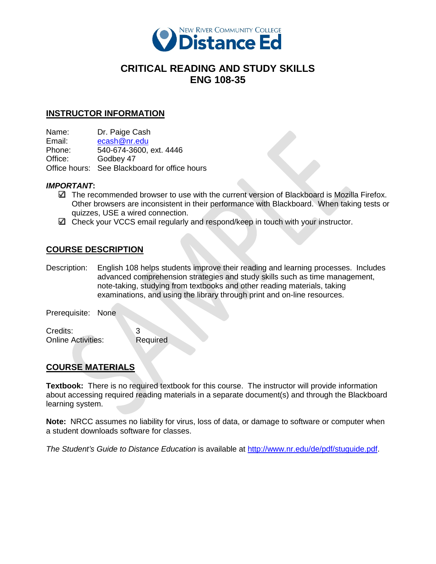

# **CRITICAL READING AND STUDY SKILLS ENG 108-35**

## **INSTRUCTOR INFORMATION**

Name: Dr. Paige Cash

Email: ecash@nr.edu<br>Phone: 540-674-3600. 540-674-3600, ext. 4446

Office: Godbey 47

Office hours: See Blackboard for office hours

## *IMPORTANT***:**

- The recommended browser to use with the current version of Blackboard is Mozilla Firefox. Other browsers are inconsistent in their performance with Blackboard. When taking tests or quizzes, USE a wired connection.
- $□$  Check your VCCS email regularly and respond/keep in touch with your instructor.

# **COURSE DESCRIPTION**

Description: English 108 helps students improve their reading and learning processes. Includes advanced comprehension strategies and study skills such as time management, note-taking, studying from textbooks and other reading materials, taking examinations, and using the library through print and on-line resources.

Prerequisite: None

Credits: 3 Online Activities: Required

# **COURSE MATERIALS**

**Textbook:** There is no required textbook for this course. The instructor will provide information about accessing required reading materials in a separate document(s) and through the Blackboard learning system.

**Note:** NRCC assumes no liability for virus, loss of data, or damage to software or computer when a student downloads software for classes.

*The Student's Guide to Distance Education* is available at [http://www.nr.edu/de/pdf/stuguide.pdf.](http://www.nr.edu/de/pdf/stuguide.pdf)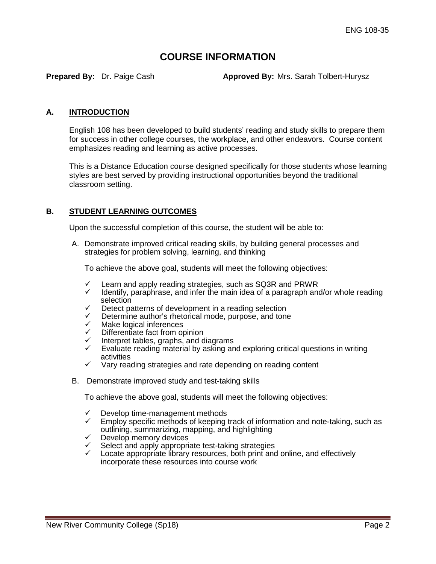# **COURSE INFORMATION**

**Prepared By:** Dr. Paige Cash **Approved By:** Mrs. Sarah Tolbert-Hurysz

### **A. INTRODUCTION**

English 108 has been developed to build students' reading and study skills to prepare them for success in other college courses, the workplace, and other endeavors. Course content emphasizes reading and learning as active processes.

This is a Distance Education course designed specifically for those students whose learning styles are best served by providing instructional opportunities beyond the traditional classroom setting.

## **B. STUDENT LEARNING OUTCOMES**

Upon the successful completion of this course, the student will be able to:

A. Demonstrate improved critical reading skills, by building general processes and strategies for problem solving, learning, and thinking

To achieve the above goal, students will meet the following objectives:

- $\checkmark$  Learn and apply reading strategies, such as SQ3R and PRWR
- Identify, paraphrase, and infer the main idea of a paragraph and/or whole reading selection
- $\checkmark$  Detect patterns of development in a reading selection
- $\checkmark$  Determine author's rhetorical mode, purpose, and tone  $\checkmark$
- $\checkmark$  Make logical inferences<br> $\checkmark$  Differentiate fact from or
- Differentiate fact from opinion
- Interpret tables, graphs, and diagrams
- Evaluate reading material by asking and exploring critical questions in writing activities
- $\checkmark$  Vary reading strategies and rate depending on reading content
- B. Demonstrate improved study and test-taking skills

To achieve the above goal, students will meet the following objectives:

- $\checkmark$  Develop time-management methods<br> $\checkmark$  Employ specific methods of keeping t
- Employ specific methods of keeping track of information and note-taking, such as outlining, summarizing, mapping, and highlighting
- $\checkmark$  Develop memory devices
- $\checkmark$  Select and apply appropriate test-taking strategies
- Locate appropriate library resources, both print and online, and effectively incorporate these resources into course work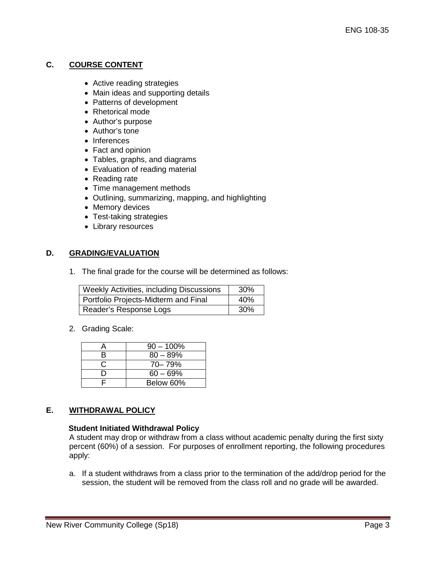# **C. COURSE CONTENT**

- Active reading strategies
- Main ideas and supporting details
- Patterns of development
- Rhetorical mode
- Author's purpose
- Author's tone
- Inferences
- Fact and opinion
- Tables, graphs, and diagrams
- Evaluation of reading material
- Reading rate
- Time management methods
- Outlining, summarizing, mapping, and highlighting
- Memory devices
- Test-taking strategies
- Library resources

## **D. GRADING/EVALUATION**

1. The final grade for the course will be determined as follows:

| Weekly Activities, including Discussions | 30% |
|------------------------------------------|-----|
| Portfolio Projects-Midterm and Final     | 40% |
| Reader's Response Logs                   | 30% |

2. Grading Scale:

|    | $90 - 100\%$ |
|----|--------------|
| B. | $80 - 89%$   |
| C  | 70-79%       |
|    | $60 - 69%$   |
|    | Below 60%    |

## **E. WITHDRAWAL POLICY**

#### **Student Initiated Withdrawal Policy**

A student may drop or withdraw from a class without academic penalty during the first sixty percent (60%) of a session. For purposes of enrollment reporting, the following procedures apply:

a. If a student withdraws from a class prior to the termination of the add/drop period for the session, the student will be removed from the class roll and no grade will be awarded.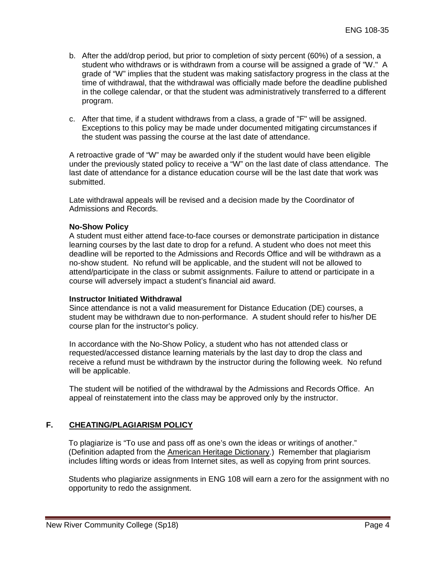- b. After the add/drop period, but prior to completion of sixty percent (60%) of a session, a student who withdraws or is withdrawn from a course will be assigned a grade of "W." A grade of "W" implies that the student was making satisfactory progress in the class at the time of withdrawal, that the withdrawal was officially made before the deadline published in the college calendar, or that the student was administratively transferred to a different program.
- c. After that time, if a student withdraws from a class, a grade of "F" will be assigned. Exceptions to this policy may be made under documented mitigating circumstances if the student was passing the course at the last date of attendance.

A retroactive grade of "W" may be awarded only if the student would have been eligible under the previously stated policy to receive a "W" on the last date of class attendance. The last date of attendance for a distance education course will be the last date that work was submitted.

Late withdrawal appeals will be revised and a decision made by the Coordinator of Admissions and Records.

#### **No-Show Policy**

A student must either attend face-to-face courses or demonstrate participation in distance learning courses by the last date to drop for a refund. A student who does not meet this deadline will be reported to the Admissions and Records Office and will be withdrawn as a no-show student. No refund will be applicable, and the student will not be allowed to attend/participate in the class or submit assignments. Failure to attend or participate in a course will adversely impact a student's financial aid award.

#### **Instructor Initiated Withdrawal**

Since attendance is not a valid measurement for Distance Education (DE) courses, a student may be withdrawn due to non-performance. A student should refer to his/her DE course plan for the instructor's policy.

In accordance with the No-Show Policy, a student who has not attended class or requested/accessed distance learning materials by the last day to drop the class and receive a refund must be withdrawn by the instructor during the following week. No refund will be applicable.

The student will be notified of the withdrawal by the Admissions and Records Office. An appeal of reinstatement into the class may be approved only by the instructor.

# **F. CHEATING/PLAGIARISM POLICY**

To plagiarize is "To use and pass off as one's own the ideas or writings of another." (Definition adapted from the American Heritage Dictionary.) Remember that plagiarism includes lifting words or ideas from Internet sites, as well as copying from print sources.

Students who plagiarize assignments in ENG 108 will earn a zero for the assignment with no opportunity to redo the assignment.